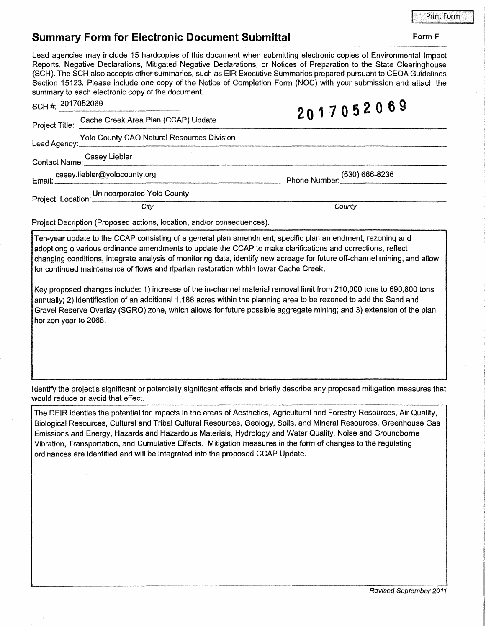## **Summary Form for Electronic Document Submittal**

## Lead agencies may include 15 hardcopies of this document when submitting electronic copies of Environmental Impact Reports, Negative Declarations, Mitigated Negative Declarations, or Notices of Preparation to the State Clearinghouse (SCH). The SCH also accepts other summaries, such as EIR Executive Summaries prepared pursuant to CEQA Guidelines Section 15123. Please include one copy of the Notice of Completion Form (NOC) with your submission and attach the summary to each electronic copy of the document.

| SCH #: 2017052069                            |                                                                                                                                                                                                                                                                                                                   | 2017052069                                                                                                                |
|----------------------------------------------|-------------------------------------------------------------------------------------------------------------------------------------------------------------------------------------------------------------------------------------------------------------------------------------------------------------------|---------------------------------------------------------------------------------------------------------------------------|
| Project Title:                               | Cache Creek Area Plan (CCAP) Update                                                                                                                                                                                                                                                                               |                                                                                                                           |
|                                              | Lead Agency: Yolo County CAO Natural Resources Division                                                                                                                                                                                                                                                           |                                                                                                                           |
|                                              | Contact Name: Casey Liebler                                                                                                                                                                                                                                                                                       |                                                                                                                           |
|                                              |                                                                                                                                                                                                                                                                                                                   | Phone Number: (530) 666-8236                                                                                              |
| Project Location: Unincorporated Yolo County |                                                                                                                                                                                                                                                                                                                   |                                                                                                                           |
|                                              | City                                                                                                                                                                                                                                                                                                              | County                                                                                                                    |
|                                              | Project Decription (Proposed actions, location, and/or consequences).                                                                                                                                                                                                                                             |                                                                                                                           |
|                                              | Ten-year update to the CCAP consisting of a general plan amendment, specific plan amendment, rezoning and<br>adoptiong o various ordinance amendments to update the CCAP to make clarifications and corrections, reflect<br>for continued maintenance of flows and riparian restoration within lower Cache Creek. | changing conditions, integrate analysis of monitoring data, identify new acreage for future off-channel mining, and allow |

Key proposed changes include: 1) increase of the in-channel material removal limit from 210,000 tons to 690,800 tons annually; 2) identification of an additional 1,188 acres within the planning area to be rezoned to add the Sand and Gravel Reserve Overlay (SGRO) zone, which allows for future possible aggregate mining; and 3) extension of the plan horizon year to 2068.

Identify the project's significant or potentially significant effects and briefly describe any proposed mitigation measures that would reduce or avoid that effect.

The DEIR identies the potential for impacts in the areas of Aesthetics, Agricultural and Forestry Resources, Air Quality, Biological Resources, Cultural and Tribal Cultural Resources, Geology, Soils, and Mineral Resources, Greenhouse Gas Emissions and Energy, Hazards and Hazardous Materials, Hydrology and Water Quality, Noise and Groundborne Vibration, Transportation, and Cumulative Effects. Mitigation measures in the form of changes to the regulating ordinances are identified and will be integrated into the proposed CCAP Update.

Form F